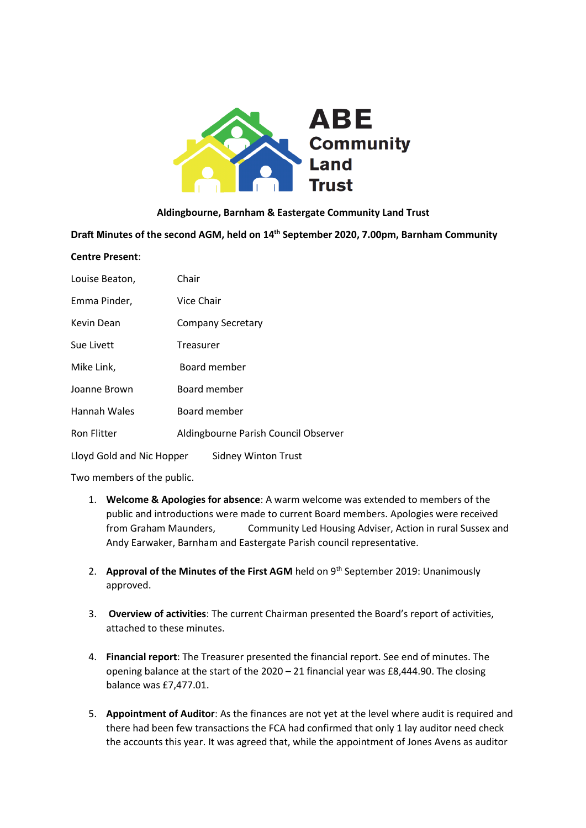

#### **Aldingbourne, Barnham & Eastergate Community Land Trust**

**Draft Minutes of the second AGM, held on 14th September 2020, 7.00pm, Barnham Community** 

#### **Centre Present**:

| Louise Beaton,            | Chair                                |  |
|---------------------------|--------------------------------------|--|
| Emma Pinder,              | Vice Chair                           |  |
| Kevin Dean                | <b>Company Secretary</b>             |  |
| Sue Livett                | Treasurer                            |  |
| Mike Link,                | Board member                         |  |
| Joanne Brown              | Board member                         |  |
| Hannah Wales              | Board member                         |  |
| <b>Ron Flitter</b>        | Aldingbourne Parish Council Observer |  |
| Lloyd Gold and Nic Hopper | <b>Sidney Winton Trust</b>           |  |

Two members of the public.

- 1. **Welcome & Apologies for absence**: A warm welcome was extended to members of the public and introductions were made to current Board members. Apologies were received from Graham Maunders, Community Led Housing Adviser, Action in rural Sussex and Andy Earwaker, Barnham and Eastergate Parish council representative.
- 2. **Approval of the Minutes of the First AGM** held on 9<sup>th</sup> September 2019: Unanimously approved.
- 3. **Overview of activities**: The current Chairman presented the Board's report of activities, attached to these minutes.
- 4. **Financial report**: The Treasurer presented the financial report. See end of minutes. The opening balance at the start of the 2020 – 21 financial year was £8,444.90. The closing balance was £7,477.01.
- 5. **Appointment of Auditor**: As the finances are not yet at the level where audit is required and there had been few transactions the FCA had confirmed that only 1 lay auditor need check the accounts this year. It was agreed that, while the appointment of Jones Avens as auditor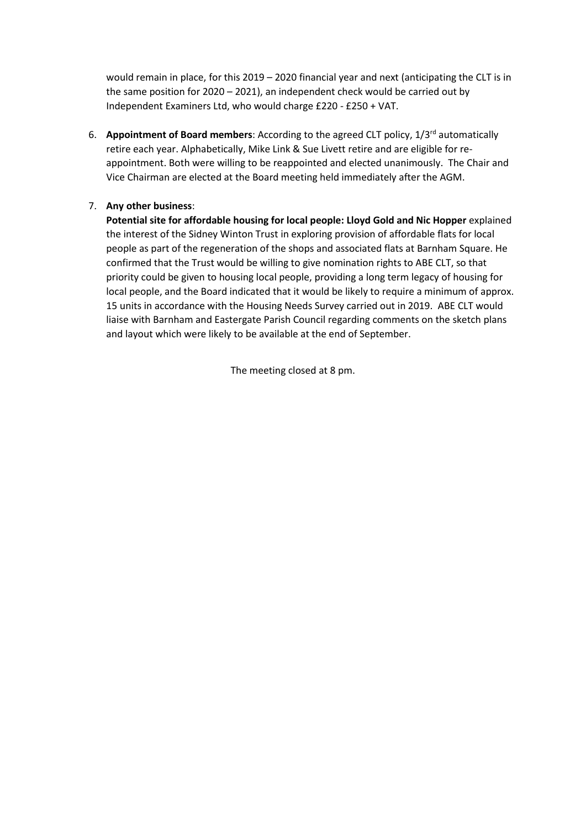would remain in place, for this 2019 – 2020 financial year and next (anticipating the CLT is in the same position for 2020 – 2021), an independent check would be carried out by Independent Examiners Ltd, who would charge £220 - £250 + VAT.

6. **Appointment of Board members**: According to the agreed CLT policy, 1/3rd automatically retire each year. Alphabetically, Mike Link & Sue Livett retire and are eligible for reappointment. Both were willing to be reappointed and elected unanimously. The Chair and Vice Chairman are elected at the Board meeting held immediately after the AGM.

### 7. **Any other business**:

**Potential site for affordable housing for local people: Lloyd Gold and Nic Hopper** explained the interest of the Sidney Winton Trust in exploring provision of affordable flats for local people as part of the regeneration of the shops and associated flats at Barnham Square. He confirmed that the Trust would be willing to give nomination rights to ABE CLT, so that priority could be given to housing local people, providing a long term legacy of housing for local people, and the Board indicated that it would be likely to require a minimum of approx. 15 units in accordance with the Housing Needs Survey carried out in 2019. ABE CLT would liaise with Barnham and Eastergate Parish Council regarding comments on the sketch plans and layout which were likely to be available at the end of September.

The meeting closed at 8 pm.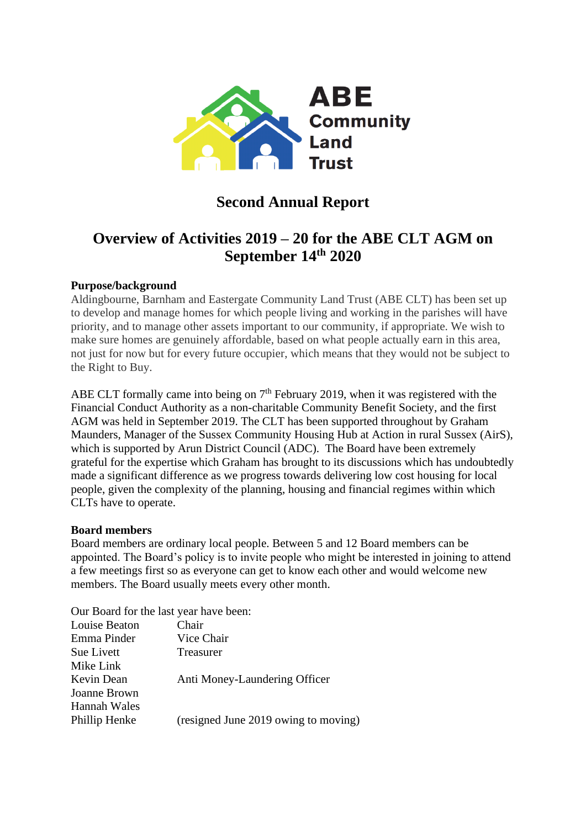

# **Second Annual Report**

# **Overview of Activities 2019 – 20 for the ABE CLT AGM on September 14th 2020**

# **Purpose/background**

Aldingbourne, Barnham and Eastergate Community Land Trust (ABE CLT) has been set up to develop and manage homes for which people living and working in the parishes will have priority, and to manage other assets important to our community, if appropriate. We wish to make sure homes are genuinely affordable, based on what people actually earn in this area, not just for now but for every future occupier, which means that they would not be subject to the Right to Buy.

ABE CLT formally came into being on  $7<sup>th</sup>$  February 2019, when it was registered with the Financial Conduct Authority as a non-charitable Community Benefit Society, and the first AGM was held in September 2019. The CLT has been supported throughout by Graham Maunders, Manager of the Sussex Community Housing Hub at Action in rural Sussex (AirS), which is supported by Arun District Council (ADC). The Board have been extremely grateful for the expertise which Graham has brought to its discussions which has undoubtedly made a significant difference as we progress towards delivering low cost housing for local people, given the complexity of the planning, housing and financial regimes within which CLTs have to operate.

# **Board members**

Board members are ordinary local people. Between 5 and 12 Board members can be appointed. The Board's policy is to invite people who might be interested in joining to attend a few meetings first so as everyone can get to know each other and would welcome new members. The Board usually meets every other month.

Our Board for the last year have been:

| Louise Beaton | Chair                                |
|---------------|--------------------------------------|
| Emma Pinder   | Vice Chair                           |
| Sue Livett    | Treasurer                            |
| Mike Link     |                                      |
| Kevin Dean    | Anti Money-Laundering Officer        |
| Joanne Brown  |                                      |
| Hannah Wales  |                                      |
| Phillip Henke | (resigned June 2019 owing to moving) |
|               |                                      |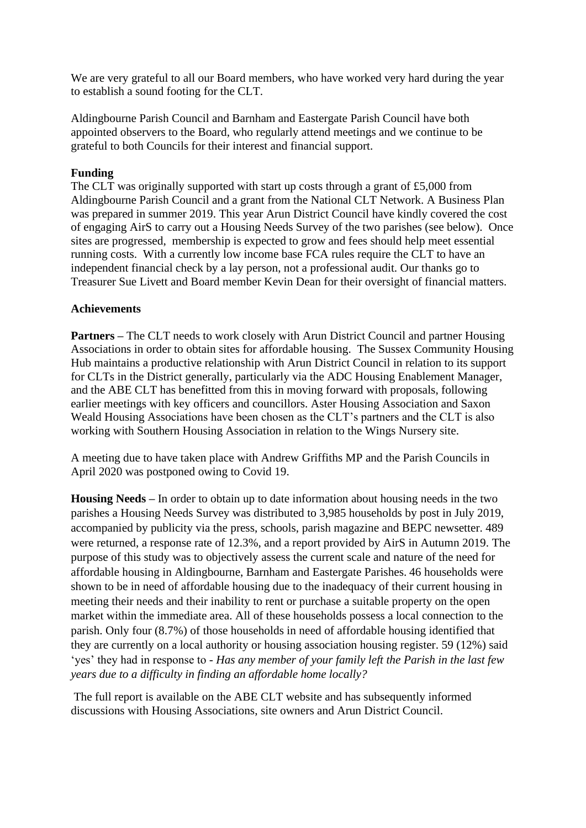We are very grateful to all our Board members, who have worked very hard during the year to establish a sound footing for the CLT.

Aldingbourne Parish Council and Barnham and Eastergate Parish Council have both appointed observers to the Board, who regularly attend meetings and we continue to be grateful to both Councils for their interest and financial support.

## **Funding**

The CLT was originally supported with start up costs through a grant of £5,000 from Aldingbourne Parish Council and a grant from the National CLT Network. A Business Plan was prepared in summer 2019. This year Arun District Council have kindly covered the cost of engaging AirS to carry out a Housing Needs Survey of the two parishes (see below). Once sites are progressed, membership is expected to grow and fees should help meet essential running costs. With a currently low income base FCA rules require the CLT to have an independent financial check by a lay person, not a professional audit. Our thanks go to Treasurer Sue Livett and Board member Kevin Dean for their oversight of financial matters.

## **Achievements**

**Partners –** The CLT needs to work closely with Arun District Council and partner Housing Associations in order to obtain sites for affordable housing. The Sussex Community Housing Hub maintains a productive relationship with Arun District Council in relation to its support for CLTs in the District generally, particularly via the ADC Housing Enablement Manager, and the ABE CLT has benefitted from this in moving forward with proposals, following earlier meetings with key officers and councillors. Aster Housing Association and Saxon Weald Housing Associations have been chosen as the CLT's partners and the CLT is also working with Southern Housing Association in relation to the Wings Nursery site.

A meeting due to have taken place with Andrew Griffiths MP and the Parish Councils in April 2020 was postponed owing to Covid 19.

**Housing Needs –** In order to obtain up to date information about housing needs in the two parishes a Housing Needs Survey was distributed to 3,985 households by post in July 2019, accompanied by publicity via the press, schools, parish magazine and BEPC newsetter. 489 were returned, a response rate of 12.3%, and a report provided by AirS in Autumn 2019. The purpose of this study was to objectively assess the current scale and nature of the need for affordable housing in Aldingbourne, Barnham and Eastergate Parishes. 46 households were shown to be in need of affordable housing due to the inadequacy of their current housing in meeting their needs and their inability to rent or purchase a suitable property on the open market within the immediate area. All of these households possess a local connection to the parish. Only four (8.7%) of those households in need of affordable housing identified that they are currently on a local authority or housing association housing register. 59 (12%) said 'yes' they had in response to - *Has any member of your family left the Parish in the last few years due to a difficulty in finding an affordable home locally?*

The full report is available on the ABE CLT website and has subsequently informed discussions with Housing Associations, site owners and Arun District Council.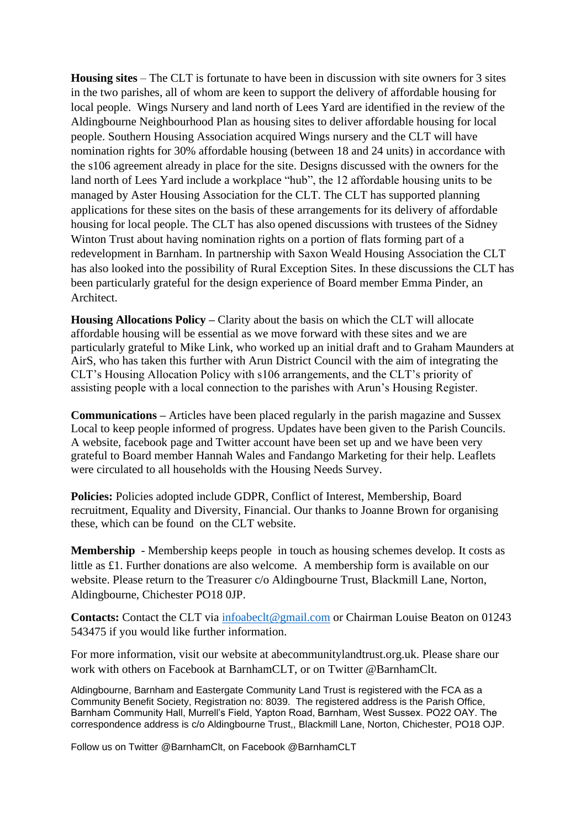**Housing sites** – The CLT is fortunate to have been in discussion with site owners for 3 sites in the two parishes, all of whom are keen to support the delivery of affordable housing for local people. Wings Nursery and land north of Lees Yard are identified in the review of the Aldingbourne Neighbourhood Plan as housing sites to deliver affordable housing for local people. Southern Housing Association acquired Wings nursery and the CLT will have nomination rights for 30% affordable housing (between 18 and 24 units) in accordance with the s106 agreement already in place for the site. Designs discussed with the owners for the land north of Lees Yard include a workplace "hub", the 12 affordable housing units to be managed by Aster Housing Association for the CLT. The CLT has supported planning applications for these sites on the basis of these arrangements for its delivery of affordable housing for local people. The CLT has also opened discussions with trustees of the Sidney Winton Trust about having nomination rights on a portion of flats forming part of a redevelopment in Barnham. In partnership with Saxon Weald Housing Association the CLT has also looked into the possibility of Rural Exception Sites. In these discussions the CLT has been particularly grateful for the design experience of Board member Emma Pinder, an Architect.

**Housing Allocations Policy –** Clarity about the basis on which the CLT will allocate affordable housing will be essential as we move forward with these sites and we are particularly grateful to Mike Link, who worked up an initial draft and to Graham Maunders at AirS, who has taken this further with Arun District Council with the aim of integrating the CLT's Housing Allocation Policy with s106 arrangements, and the CLT's priority of assisting people with a local connection to the parishes with Arun's Housing Register.

**Communications –** Articles have been placed regularly in the parish magazine and Sussex Local to keep people informed of progress. Updates have been given to the Parish Councils. A website, facebook page and Twitter account have been set up and we have been very grateful to Board member Hannah Wales and Fandango Marketing for their help. Leaflets were circulated to all households with the Housing Needs Survey.

**Policies:** Policies adopted include GDPR, Conflict of Interest, Membership, Board recruitment, Equality and Diversity, Financial. Our thanks to Joanne Brown for organising these, which can be found on the CLT website.

**Membership** - Membership keeps people in touch as housing schemes develop. It costs as little as £1. Further donations are also welcome. A membership form is available on our website. Please return to the Treasurer c/o Aldingbourne Trust, Blackmill Lane, Norton, Aldingbourne, Chichester PO18 0JP.

Contacts: Contact the CLT via [infoabeclt@gmail.com](mailto:infoabeclt@gmail.com) or Chairman Louise Beaton on 01243 543475 if you would like further information.

For more information, visit our website at abecommunitylandtrust.org.uk. Please share our work with others on Facebook at BarnhamCLT, or on Twitter @BarnhamClt.

Aldingbourne, Barnham and Eastergate Community Land Trust is registered with the FCA as a Community Benefit Society, Registration no: 8039. The registered address is the Parish Office, Barnham Community Hall, Murrell's Field, Yapton Road, Barnham, West Sussex. PO22 OAY. The correspondence address is c/o Aldingbourne Trust,, Blackmill Lane, Norton, Chichester, PO18 OJP.

Follow us on Twitter @BarnhamClt, on Facebook @BarnhamCLT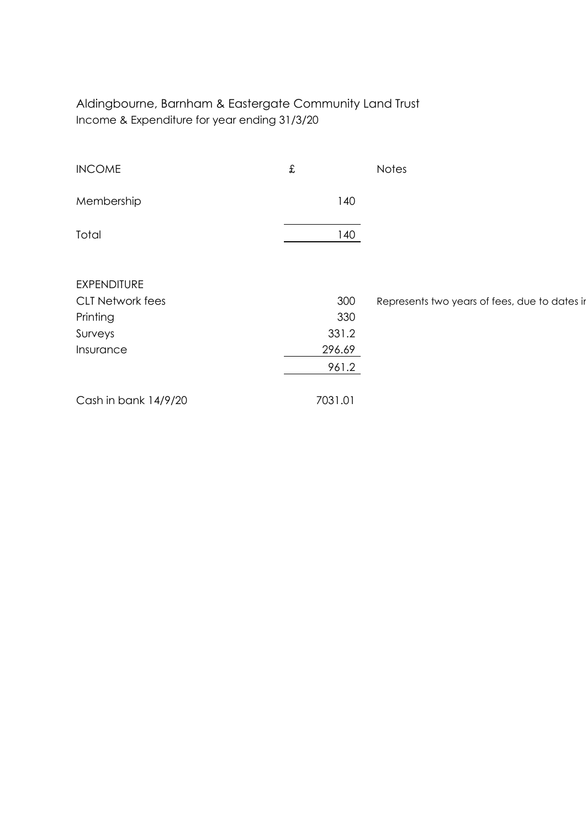Aldingbourne, Barnham & Eastergate Community Land Trust Income & Expenditure for year ending 31/3/20

| <b>INCOME</b>           | £       | <b>Notes</b>                                  |
|-------------------------|---------|-----------------------------------------------|
| Membership              | 140     |                                               |
| Total                   | 140     |                                               |
|                         |         |                                               |
| <b>EXPENDITURE</b>      |         |                                               |
| <b>CLT Network fees</b> | 300     | Represents two years of fees, due to dates in |
| Printing                | 330     |                                               |
| Surveys                 | 331.2   |                                               |
| Insurance               | 296.69  |                                               |
|                         | 961.2   |                                               |
| Cash in bank 14/9/20    | 7031.01 |                                               |
|                         |         |                                               |